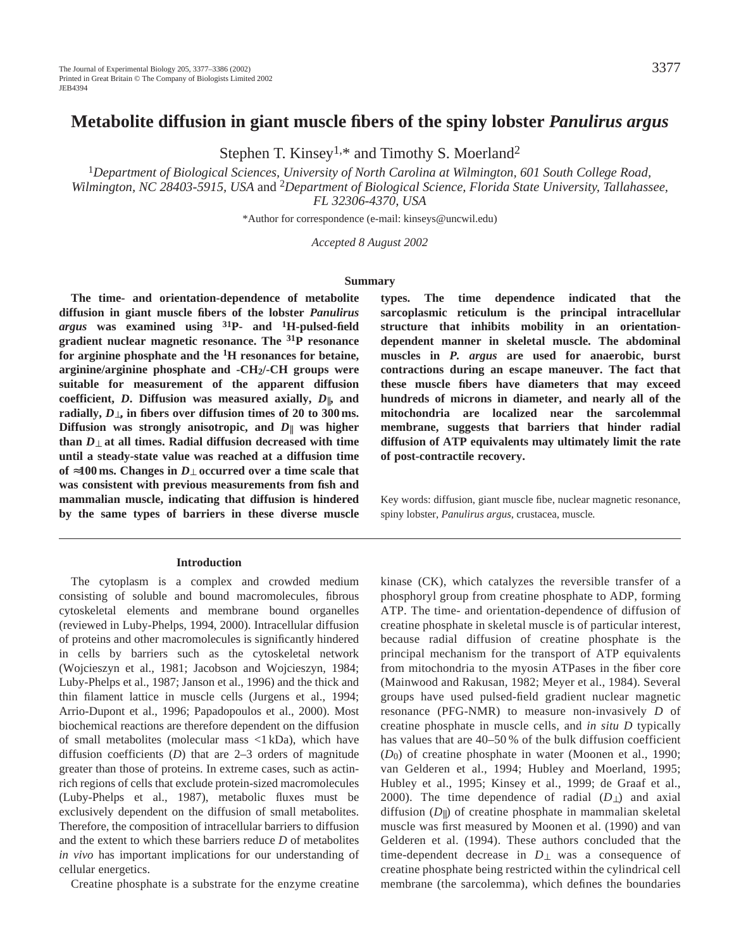# **Metabolite diffusion in giant muscle fibers of the spiny lobster** *Panulirus argus*

Stephen T. Kinsey<sup>1,\*</sup> and Timothy S. Moerland<sup>2</sup>

<sup>1</sup>*Department of Biological Sciences, University of North Carolina at Wilmington, 601 South College Road, Wilmington, NC 28403-5915, USA* and 2*Department of Biological Science, Florida State University, Tallahassee, FL 32306-4370, USA*

\*Author for correspondence (e-mail: kinseys@uncwil.edu)

*Accepted 8 August 2002* 

#### **Summary**

**The time- and orientation-dependence of metabolite diffusion in giant muscle fibers of the lobster** *Panulirus argus* **was examined using 31P- and 1H-pulsed-field gradient nuclear magnetic resonance. The 31P resonance for arginine phosphate and the 1H resonances for betaine, arginine/arginine phosphate and -CH2/-CH groups were suitable for measurement of the apparent diffusion coefficient,** *D***. Diffusion was measured axially,** *D*||**, and radially,** *D*⊥**, in fibers over diffusion times of 20 to 300 ms. Diffusion was strongly anisotropic, and** *D*|| **was higher than** *D*⊥ **at all times. Radial diffusion decreased with time until a steady-state value was reached at a diffusion time of** ≈**100 ms. Changes in** *D*⊥ **occurred over a time scale that was consistent with previous measurements from fish and mammalian muscle, indicating that diffusion is hindered by the same types of barriers in these diverse muscle**

### **Introduction**

The cytoplasm is a complex and crowded medium consisting of soluble and bound macromolecules, fibrous cytoskeletal elements and membrane bound organelles (reviewed in Luby-Phelps, 1994, 2000). Intracellular diffusion of proteins and other macromolecules is significantly hindered in cells by barriers such as the cytoskeletal network (Wojcieszyn et al., 1981; Jacobson and Wojcieszyn, 1984; Luby-Phelps et al., 1987; Janson et al., 1996) and the thick and thin filament lattice in muscle cells (Jurgens et al., 1994; Arrio-Dupont et al., 1996; Papadopoulos et al., 2000). Most biochemical reactions are therefore dependent on the diffusion of small metabolites (molecular mass <1 kDa), which have diffusion coefficients (*D*) that are 2–3 orders of magnitude greater than those of proteins. In extreme cases, such as actinrich regions of cells that exclude protein-sized macromolecules (Luby-Phelps et al., 1987), metabolic fluxes must be exclusively dependent on the diffusion of small metabolites. Therefore, the composition of intracellular barriers to diffusion and the extent to which these barriers reduce *D* of metabolites *in vivo* has important implications for our understanding of cellular energetics.

Creatine phosphate is a substrate for the enzyme creatine

**types. The time dependence indicated that the sarcoplasmic reticulum is the principal intracellular structure that inhibits mobility in an orientationdependent manner in skeletal muscle. The abdominal muscles in** *P. argus* **are used for anaerobic, burst contractions during an escape maneuver. The fact that these muscle fibers have diameters that may exceed hundreds of microns in diameter, and nearly all of the mitochondria are localized near the sarcolemmal membrane, suggests that barriers that hinder radial diffusion of ATP equivalents may ultimately limit the rate of post-contractile recovery.** 

Key words: diffusion, giant muscle fibe, nuclear magnetic resonance, spiny lobster, *Panulirus argus*, crustacea, muscle*.*

kinase (CK), which catalyzes the reversible transfer of a phosphoryl group from creatine phosphate to ADP, forming ATP. The time- and orientation-dependence of diffusion of creatine phosphate in skeletal muscle is of particular interest, because radial diffusion of creatine phosphate is the principal mechanism for the transport of ATP equivalents from mitochondria to the myosin ATPases in the fiber core (Mainwood and Rakusan, 1982; Meyer et al., 1984). Several groups have used pulsed-field gradient nuclear magnetic resonance (PFG-NMR) to measure non-invasively *D* of creatine phosphate in muscle cells, and *in situ D* typically has values that are 40–50% of the bulk diffusion coefficient (*D*0) of creatine phosphate in water (Moonen et al., 1990; van Gelderen et al., 1994; Hubley and Moerland, 1995; Hubley et al., 1995; Kinsey et al., 1999; de Graaf et al., 2000). The time dependence of radial (*D*⊥) and axial diffusion (*D*||) of creatine phosphate in mammalian skeletal muscle was first measured by Moonen et al. (1990) and van Gelderen et al. (1994). These authors concluded that the time-dependent decrease in *D*⊥ was a consequence of creatine phosphate being restricted within the cylindrical cell membrane (the sarcolemma), which defines the boundaries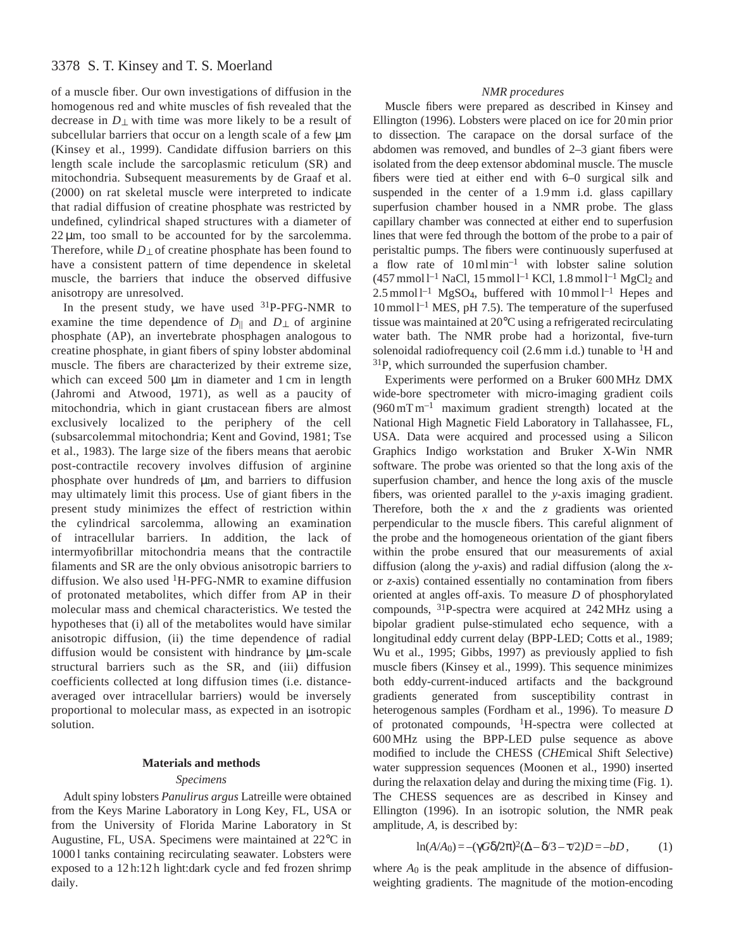# 3378 S. T. Kinsey and T. S. Moerland

of a muscle fiber. Our own investigations of diffusion in the homogenous red and white muscles of fish revealed that the decrease in *D*⊥ with time was more likely to be a result of subcellular barriers that occur on a length scale of a few  $\mu$ m (Kinsey et al., 1999). Candidate diffusion barriers on this length scale include the sarcoplasmic reticulum (SR) and mitochondria. Subsequent measurements by de Graaf et al. (2000) on rat skeletal muscle were interpreted to indicate that radial diffusion of creatine phosphate was restricted by undefined, cylindrical shaped structures with a diameter of  $22 \mu m$ , too small to be accounted for by the sarcolemma. Therefore, while *D*⊥ of creatine phosphate has been found to have a consistent pattern of time dependence in skeletal muscle, the barriers that induce the observed diffusive anisotropy are unresolved.

In the present study, we have used  $31P-PFG-NMR$  to examine the time dependence of  $D_{\parallel}$  and  $D_{\perp}$  of arginine phosphate (AP), an invertebrate phosphagen analogous to creatine phosphate, in giant fibers of spiny lobster abdominal muscle. The fibers are characterized by their extreme size, which can exceed 500  $\mu$ m in diameter and 1 cm in length (Jahromi and Atwood, 1971), as well as a paucity of mitochondria, which in giant crustacean fibers are almost exclusively localized to the periphery of the cell (subsarcolemmal mitochondria; Kent and Govind, 1981; Tse et al., 1983). The large size of the fibers means that aerobic post-contractile recovery involves diffusion of arginine phosphate over hundreds of µm, and barriers to diffusion may ultimately limit this process. Use of giant fibers in the present study minimizes the effect of restriction within the cylindrical sarcolemma, allowing an examination of intracellular barriers. In addition, the lack of intermyofibrillar mitochondria means that the contractile filaments and SR are the only obvious anisotropic barriers to diffusion. We also used  ${}^{1}$ H-PFG-NMR to examine diffusion of protonated metabolites, which differ from AP in their molecular mass and chemical characteristics. We tested the hypotheses that (i) all of the metabolites would have similar anisotropic diffusion, (ii) the time dependence of radial diffusion would be consistent with hindrance by µm-scale structural barriers such as the SR, and (iii) diffusion coefficients collected at long diffusion times (i.e. distanceaveraged over intracellular barriers) would be inversely proportional to molecular mass, as expected in an isotropic solution.

### **Materials and methods**

### *Specimens*

Adult spiny lobsters *Panulirus argus* Latreille were obtained from the Keys Marine Laboratory in Long Key, FL, USA or from the University of Florida Marine Laboratory in St Augustine, FL, USA. Specimens were maintained at 22°C in 10001 tanks containing recirculating seawater. Lobsters were exposed to a 12 h:12 h light:dark cycle and fed frozen shrimp daily.

## *NMR procedures*

Muscle fibers were prepared as described in Kinsey and Ellington (1996). Lobsters were placed on ice for 20 min prior to dissection. The carapace on the dorsal surface of the abdomen was removed, and bundles of 2–3 giant fibers were isolated from the deep extensor abdominal muscle. The muscle fibers were tied at either end with 6–0 surgical silk and suspended in the center of a 1.9 mm i.d. glass capillary superfusion chamber housed in a NMR probe. The glass capillary chamber was connected at either end to superfusion lines that were fed through the bottom of the probe to a pair of peristaltic pumps. The fibers were continuously superfused at a flow rate of  $10 \text{ ml min}^{-1}$  with lobster saline solution  $(457 \text{ mmol l}^{-1} \text{ NaCl}, 15 \text{ mmol l}^{-1} \text{ KCl}, 1.8 \text{ mmol l}^{-1} \text{ MgCl}_2 \text{ and}$  $2.5$  mmol  $l^{-1}$  MgSO<sub>4</sub>, buffered with  $10$  mmol  $l^{-1}$  Hepes and 10 mmol l–1 MES, pH 7.5). The temperature of the superfused tissue was maintained at 20°C using a refrigerated recirculating water bath. The NMR probe had a horizontal, five-turn solenoidal radiofrequency coil (2.6 mm i.d.) tunable to  ${}^{1}H$  and 31P, which surrounded the superfusion chamber.

Experiments were performed on a Bruker 600 MHz DMX wide-bore spectrometer with micro-imaging gradient coils  $(960 \,\mathrm{mT \, m^{-1}}$  maximum gradient strength) located at the National High Magnetic Field Laboratory in Tallahassee, FL, USA. Data were acquired and processed using a Silicon Graphics Indigo workstation and Bruker X-Win NMR software. The probe was oriented so that the long axis of the superfusion chamber, and hence the long axis of the muscle fibers, was oriented parallel to the *y*-axis imaging gradient. Therefore, both the *x* and the *z* gradients was oriented perpendicular to the muscle fibers. This careful alignment of the probe and the homogeneous orientation of the giant fibers within the probe ensured that our measurements of axial diffusion (along the *y*-axis) and radial diffusion (along the *x*or *z*-axis) contained essentially no contamination from fibers oriented at angles off-axis. To measure *D* of phosphorylated compounds, 31P-spectra were acquired at 242 MHz using a bipolar gradient pulse-stimulated echo sequence, with a longitudinal eddy current delay (BPP-LED; Cotts et al., 1989; Wu et al., 1995; Gibbs, 1997) as previously applied to fish muscle fibers (Kinsey et al., 1999). This sequence minimizes both eddy-current-induced artifacts and the background gradients generated from susceptibility contrast in heterogenous samples (Fordham et al., 1996). To measure *D* of protonated compounds, 1H-spectra were collected at 600 MHz using the BPP-LED pulse sequence as above modified to include the CHESS (*CHE*mical *S*hift *S*elective) water suppression sequences (Moonen et al., 1990) inserted during the relaxation delay and during the mixing time (Fig. 1). The CHESS sequences are as described in Kinsey and Ellington (1996). In an isotropic solution, the NMR peak amplitude, *A*, is described by:

$$
\ln(A/A_0) = -(\gamma G \delta / 2\pi)^2 (\Delta - \delta / 3 - \tau / 2) D = -bD, \qquad (1)
$$

where  $A_0$  is the peak amplitude in the absence of diffusionweighting gradients. The magnitude of the motion-encoding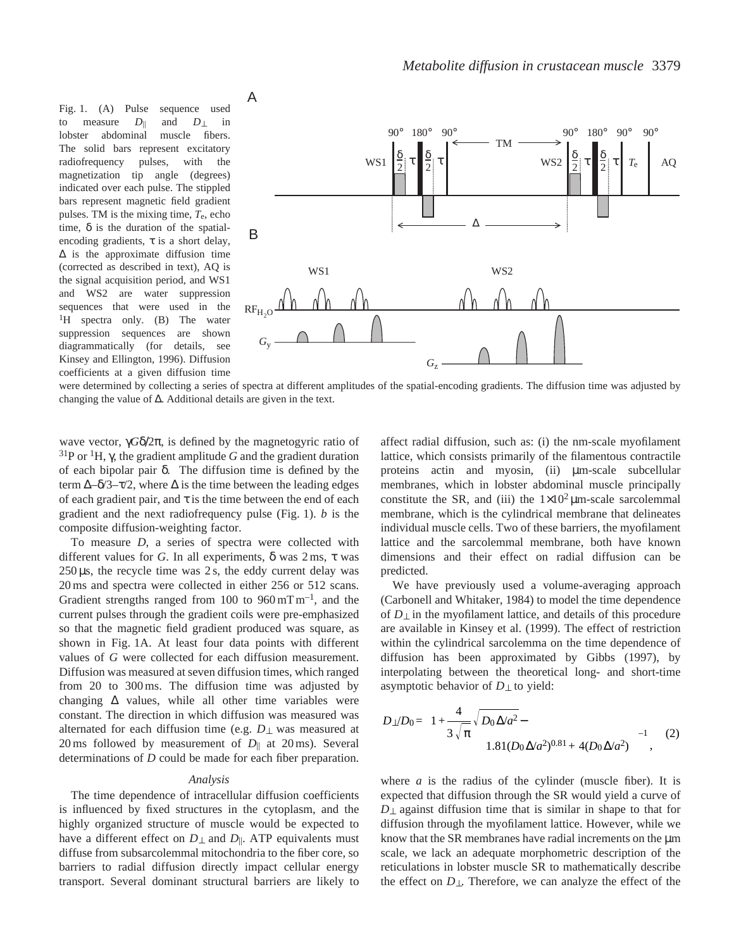Fig. 1. (A) Pulse sequence used to measure  $D_{\parallel}$  and  $D_{\perp}$  in lobster abdominal muscle fibers. The solid bars represent excitatory radiofrequency pulses, with the magnetization tip angle (degrees) indicated over each pulse. The stippled bars represent magnetic field gradient pulses. TM is the mixing time, *T*e, echo time,  $\delta$  is the duration of the spatialencoding gradients,  $\tau$  is a short delay, ∆ is the approximate diffusion time (corrected as described in text), AQ is the signal acquisition period, and WS1 and WS2 are water suppression sequences that were used in the <sup>1</sup>H spectra only. (B) The water suppression sequences are shown diagrammatically (for details, see Kinsey and Ellington, 1996). Diffusion coefficients at a given diffusion time



were determined by collecting a series of spectra at different amplitudes of the spatial-encoding gradients. The diffusion time was adjusted by changing the value of ∆. Additional details are given in the text.

wave vector, γ*G*δ/2π, is defined by the magnetogyric ratio of <sup>31</sup>P or <sup>1</sup>H, γ, the gradient amplitude *G* and the gradient duration of each bipolar pair δ. The diffusion time is defined by the term  $\Delta$ –δ/3– $\tau$ /2, where  $\Delta$  is the time between the leading edges of each gradient pair, and  $\tau$  is the time between the end of each gradient and the next radiofrequency pulse (Fig. 1). *b* is the composite diffusion-weighting factor.

To measure *D*, a series of spectra were collected with different values for *G*. In all experiments, δ was 2 ms, τ was  $250 \,\mu s$ , the recycle time was 2s, the eddy current delay was 20 ms and spectra were collected in either 256 or 512 scans. Gradient strengths ranged from 100 to  $960 \,\mathrm{mT\,m^{-1}}$ , and the current pulses through the gradient coils were pre-emphasized so that the magnetic field gradient produced was square, as shown in Fig. 1A. At least four data points with different values of *G* were collected for each diffusion measurement. Diffusion was measured at seven diffusion times, which ranged from 20 to 300 ms. The diffusion time was adjusted by changing  $\Delta$  values, while all other time variables were constant. The direction in which diffusion was measured was alternated for each diffusion time (e.g. *D*⊥ was measured at 20 ms followed by measurement of  $D_{\parallel}$  at 20 ms). Several determinations of *D* could be made for each fiber preparation.

### *Analysis*

The time dependence of intracellular diffusion coefficients is influenced by fixed structures in the cytoplasm, and the highly organized structure of muscle would be expected to have a different effect on  $D_{\perp}$  and  $D_{\parallel}$ . ATP equivalents must diffuse from subsarcolemmal mitochondria to the fiber core, so barriers to radial diffusion directly impact cellular energy transport. Several dominant structural barriers are likely to

affect radial diffusion, such as: (i) the nm-scale myofilament lattice, which consists primarily of the filamentous contractile proteins actin and myosin, (ii) µm-scale subcellular membranes, which in lobster abdominal muscle principally constitute the SR, and (iii) the  $1\times10^2 \mu$ m-scale sarcolemmal membrane, which is the cylindrical membrane that delineates individual muscle cells. Two of these barriers, the myofilament lattice and the sarcolemmal membrane, both have known dimensions and their effect on radial diffusion can be predicted.

We have previously used a volume-averaging approach (Carbonell and Whitaker, 1984) to model the time dependence of *D*⊥ in the myofilament lattice, and details of this procedure are available in Kinsey et al. (1999). The effect of restriction within the cylindrical sarcolemma on the time dependence of diffusion has been approximated by Gibbs (1997), by interpolating between the theoretical long- and short-time asymptotic behavior of *D*⊥ to yield:

$$
D_{\perp}/D_0 = \left[1 + \frac{4}{3\sqrt{\pi}} \sqrt{D_0 \Delta/a^2} - 1.81(D_0 \Delta/a^2)^{0.81} + 4(D_0 \Delta/a^2)\right]^{-1}, \quad (2)
$$

where *a* is the radius of the cylinder (muscle fiber). It is expected that diffusion through the SR would yield a curve of *D*<sub>⊥</sub> against diffusion time that is similar in shape to that for diffusion through the myofilament lattice. However, while we know that the SR membranes have radial increments on the  $\mu$ m scale, we lack an adequate morphometric description of the reticulations in lobster muscle SR to mathematically describe the effect on *D*⊥. Therefore, we can analyze the effect of the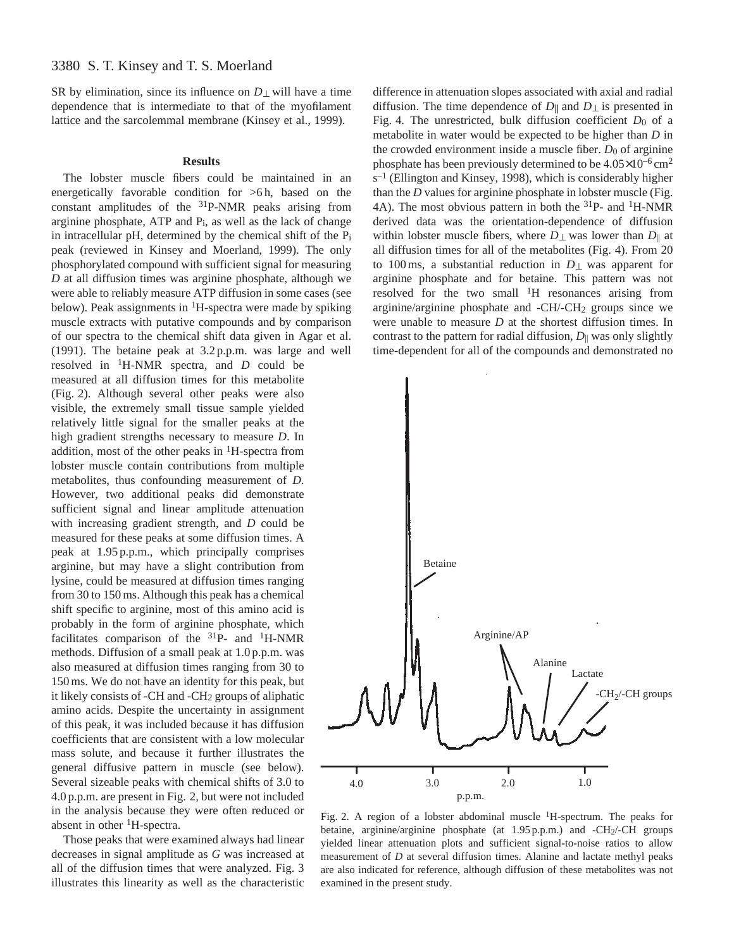SR by elimination, since its influence on  $D_{\perp}$  will have a time dependence that is intermediate to that of the myofilament lattice and the sarcolemmal membrane (Kinsey et al., 1999).

### **Results**

The lobster muscle fibers could be maintained in an energetically favorable condition for  $>6$  h, based on the constant amplitudes of the 31P-NMR peaks arising from arginine phosphate, ATP and Pi, as well as the lack of change in intracellular pH, determined by the chemical shift of the Pi peak (reviewed in Kinsey and Moerland, 1999). The only phosphorylated compound with sufficient signal for measuring *D* at all diffusion times was arginine phosphate, although we were able to reliably measure ATP diffusion in some cases (see below). Peak assignments in  ${}^{1}$ H-spectra were made by spiking muscle extracts with putative compounds and by comparison of our spectra to the chemical shift data given in Agar et al. (1991). The betaine peak at 3.2 p.p.m. was large and well

resolved in 1H-NMR spectra, and *D* could be measured at all diffusion times for this metabolite (Fig. 2). Although several other peaks were also visible, the extremely small tissue sample yielded relatively little signal for the smaller peaks at the high gradient strengths necessary to measure *D*. In addition, most of the other peaks in 1H-spectra from lobster muscle contain contributions from multiple metabolites, thus confounding measurement of *D*. However, two additional peaks did demonstrate sufficient signal and linear amplitude attenuation with increasing gradient strength, and *D* could be measured for these peaks at some diffusion times. A peak at 1.95 p.p.m., which principally comprises arginine, but may have a slight contribution from lysine, could be measured at diffusion times ranging from 30 to 150 ms. Although this peak has a chemical shift specific to arginine, most of this amino acid is probably in the form of arginine phosphate, which facilitates comparison of the  $31P-$  and  $1H- NMR$ methods. Diffusion of a small peak at 1.0 p.p.m. was also measured at diffusion times ranging from 30 to 150 ms. We do not have an identity for this peak, but it likely consists of -CH and -CH2 groups of aliphatic amino acids. Despite the uncertainty in assignment of this peak, it was included because it has diffusion coefficients that are consistent with a low molecular mass solute, and because it further illustrates the general diffusive pattern in muscle (see below). Several sizeable peaks with chemical shifts of 3.0 to 4.0 p.p.m. are present in Fig. 2, but were not included in the analysis because they were often reduced or absent in other  ${}^{1}$ H-spectra.

Those peaks that were examined always had linear decreases in signal amplitude as *G* was increased at all of the diffusion times that were analyzed. Fig. 3 illustrates this linearity as well as the characteristic

difference in attenuation slopes associated with axial and radial diffusion. The time dependence of  $D_{\parallel}$  and  $D_{\perp}$  is presented in Fig. 4. The unrestricted, bulk diffusion coefficient  $D_0$  of a metabolite in water would be expected to be higher than *D* in the crowded environment inside a muscle fiber.  $D_0$  of arginine phosphate has been previously determined to be  $4.05\times10^{-6}$  cm<sup>2</sup>  $s^{-1}$  (Ellington and Kinsey, 1998), which is considerably higher than the *D* values for arginine phosphate in lobster muscle (Fig. 4A). The most obvious pattern in both the <sup>31</sup>P- and <sup>1</sup>H-NMR derived data was the orientation-dependence of diffusion within lobster muscle fibers, where *D*⊥ was lower than *D*|| at all diffusion times for all of the metabolites (Fig. 4). From 20 to 100 ms, a substantial reduction in *D*⊥ was apparent for arginine phosphate and for betaine. This pattern was not resolved for the two small 1H resonances arising from arginine/arginine phosphate and -CH/-CH2 groups since we were unable to measure *D* at the shortest diffusion times. In contrast to the pattern for radial diffusion,  $D_{\parallel}$  was only slightly time-dependent for all of the compounds and demonstrated no



Fig. 2. A region of a lobster abdominal muscle 1H-spectrum. The peaks for betaine, arginine/arginine phosphate (at 1.95 p.p.m.) and -CH2/-CH groups yielded linear attenuation plots and sufficient signal-to-noise ratios to allow measurement of *D* at several diffusion times. Alanine and lactate methyl peaks are also indicated for reference, although diffusion of these metabolites was not examined in the present study.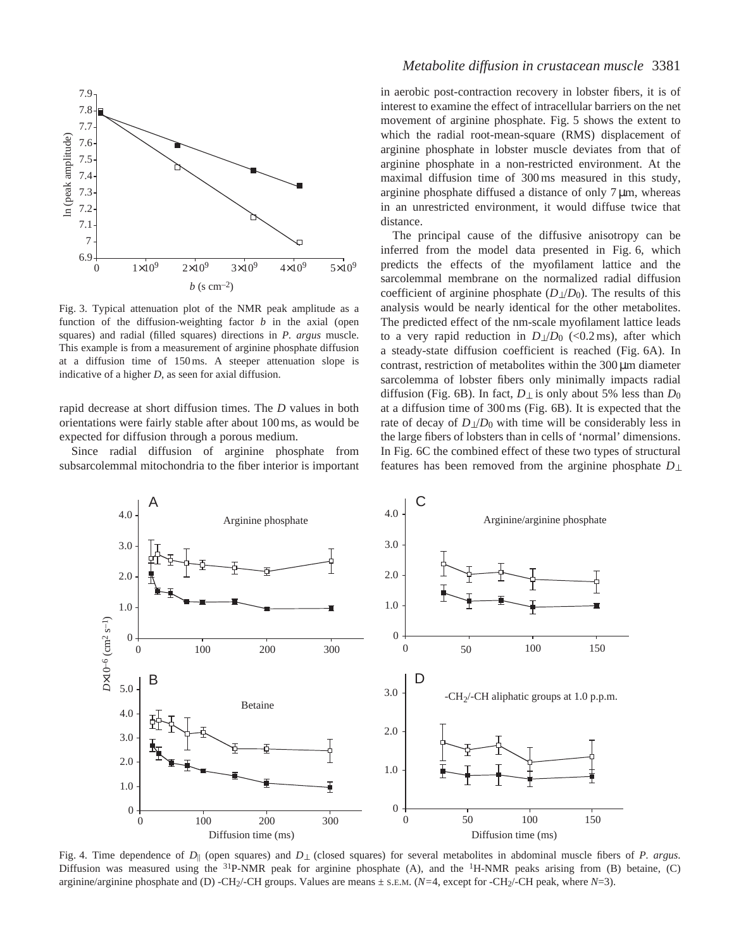

Fig. 3. Typical attenuation plot of the NMR peak amplitude as a function of the diffusion-weighting factor *b* in the axial (open squares) and radial (filled squares) directions in *P. argus* muscle. This example is from a measurement of arginine phosphate diffusion at a diffusion time of 150 ms. A steeper attenuation slope is indicative of a higher *D*, as seen for axial diffusion.

rapid decrease at short diffusion times. The *D* values in both orientations were fairly stable after about 100 ms, as would be expected for diffusion through a porous medium.

Since radial diffusion of arginine phosphate from subsarcolemmal mitochondria to the fiber interior is important

# *Metabolite diffusion in crustacean muscle* 3381

in aerobic post-contraction recovery in lobster fibers, it is of interest to examine the effect of intracellular barriers on the net movement of arginine phosphate. Fig. 5 shows the extent to which the radial root-mean-square (RMS) displacement of arginine phosphate in lobster muscle deviates from that of arginine phosphate in a non-restricted environment. At the maximal diffusion time of 300 ms measured in this study, arginine phosphate diffused a distance of only  $7 \mu m$ , whereas in an unrestricted environment, it would diffuse twice that distance.

The principal cause of the diffusive anisotropy can be inferred from the model data presented in Fig. 6, which predicts the effects of the myofilament lattice and the sarcolemmal membrane on the normalized radial diffusion coefficient of arginine phosphate  $(D_1/D_0)$ . The results of this analysis would be nearly identical for the other metabolites. The predicted effect of the nm-scale myofilament lattice leads to a very rapid reduction in  $D_{\perp}/D_0$  (<0.2 ms), after which a steady-state diffusion coefficient is reached (Fig. 6A). In contrast, restriction of metabolites within the  $300 \mu m$  diameter sarcolemma of lobster fibers only minimally impacts radial diffusion (Fig. 6B). In fact,  $D_{\perp}$  is only about 5% less than  $D_0$ at a diffusion time of 300 ms (Fig. 6B). It is expected that the rate of decay of  $D_1/D_0$  with time will be considerably less in the large fibers of lobsters than in cells of 'normal' dimensions. In Fig. 6C the combined effect of these two types of structural features has been removed from the arginine phosphate *D*⊥



Fig. 4. Time dependence of *D*|| (open squares) and *D*⊥ (closed squares) for several metabolites in abdominal muscle fibers of *P. argus*. Diffusion was measured using the  $31P-NMR$  peak for arginine phosphate (A), and the  $1H-NMR$  peaks arising from (B) betaine, (C) arginine/arginine phosphate and (D) -CH2/-CH groups. Values are means ± S.E.M. (*N=*4, except for -CH2/-CH peak, where *N*=3).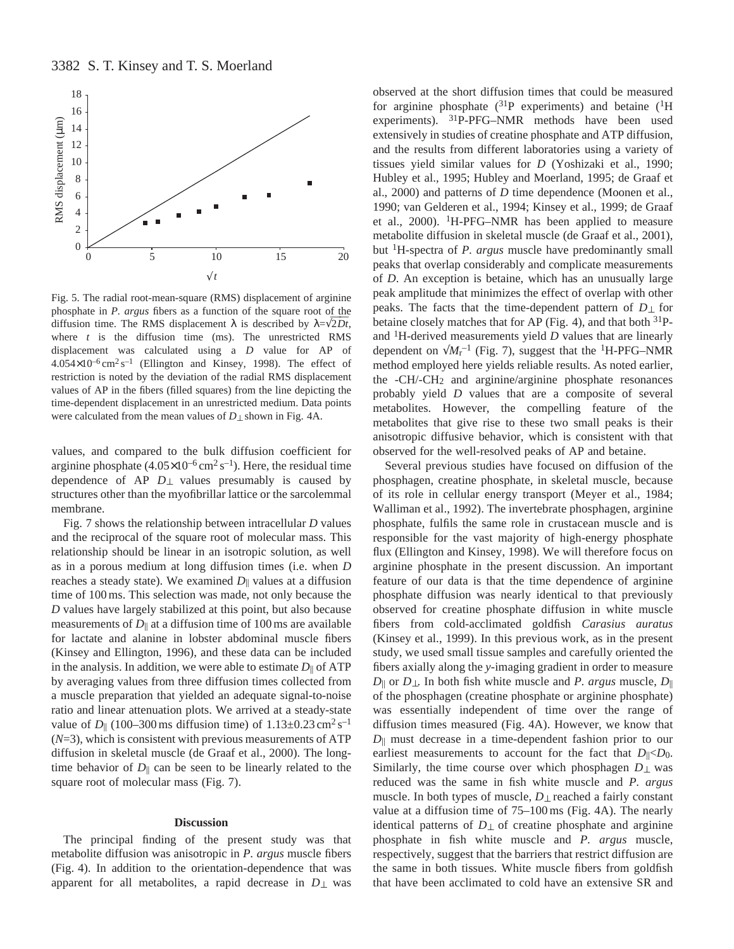

Fig. 5. The radial root-mean-square (RMS) displacement of arginine phosphate in *P. argus* fibers as a function of the square root of the diffusion time. The RMS displacement  $\lambda$  is described by  $\lambda = \sqrt{2Dt}$ , where *t* is the diffusion time (ms). The unrestricted RMS displacement was calculated using a *D* value for AP of  $4.054 \times 10^{-6}$  cm<sup>2</sup> s<sup>-1</sup> (Ellington and Kinsey, 1998). The effect of restriction is noted by the deviation of the radial RMS displacement values of AP in the fibers (filled squares) from the line depicting the time-dependent displacement in an unrestricted medium. Data points were calculated from the mean values of *D*⊥ shown in Fig. 4A.

values, and compared to the bulk diffusion coefficient for arginine phosphate  $(4.05\times10^{-6} \text{ cm}^2 \text{ s}^{-1})$ . Here, the residual time dependence of AP  $D_{\perp}$  values presumably is caused by structures other than the myofibrillar lattice or the sarcolemmal membrane.

Fig. 7 shows the relationship between intracellular *D* values and the reciprocal of the square root of molecular mass. This relationship should be linear in an isotropic solution, as well as in a porous medium at long diffusion times (i.e. when *D* reaches a steady state). We examined *D*|| values at a diffusion time of 100 ms. This selection was made, not only because the *D* values have largely stabilized at this point, but also because measurements of  $D_{\parallel}$  at a diffusion time of 100 ms are available for lactate and alanine in lobster abdominal muscle fibers (Kinsey and Ellington, 1996), and these data can be included in the analysis. In addition, we were able to estimate  $D_{\parallel}$  of ATP by averaging values from three diffusion times collected from a muscle preparation that yielded an adequate signal-to-noise ratio and linear attenuation plots. We arrived at a steady-state value of  $D_{\parallel}$  (100–300 ms diffusion time) of  $1.13\pm0.23$  cm<sup>2</sup> s<sup>-1</sup> (*N*=3), which is consistent with previous measurements of ATP diffusion in skeletal muscle (de Graaf et al., 2000). The longtime behavior of  $D_{\parallel}$  can be seen to be linearly related to the square root of molecular mass (Fig. 7).

### **Discussion**

The principal finding of the present study was that metabolite diffusion was anisotropic in *P. argus* muscle fibers (Fig. 4). In addition to the orientation-dependence that was apparent for all metabolites, a rapid decrease in *D*⊥ was

observed at the short diffusion times that could be measured for arginine phosphate  $(^{31}P$  experiments) and betaine  $(^{1}H)$ experiments). 31P-PFG–NMR methods have been used extensively in studies of creatine phosphate and ATP diffusion, and the results from different laboratories using a variety of tissues yield similar values for *D* (Yoshizaki et al., 1990; Hubley et al., 1995; Hubley and Moerland, 1995; de Graaf et al., 2000) and patterns of *D* time dependence (Moonen et al., 1990; van Gelderen et al., 1994; Kinsey et al., 1999; de Graaf et al., 2000).  ${}^{1}$ H-PFG–NMR has been applied to measure metabolite diffusion in skeletal muscle (de Graaf et al., 2001), but 1H-spectra of *P. argus* muscle have predominantly small peaks that overlap considerably and complicate measurements of *D*. An exception is betaine, which has an unusually large peak amplitude that minimizes the effect of overlap with other peaks. The facts that the time-dependent pattern of *D*⊥ for betaine closely matches that for AP (Fig. 4), and that both <sup>31</sup>Pand 1H-derived measurements yield *D* values that are linearly dependent on  $\sqrt{M_r^{-1}}$  (Fig. 7), suggest that the <sup>1</sup>H-PFG–NMR method employed here yields reliable results. As noted earlier, the -CH/-CH2 and arginine/arginine phosphate resonances probably yield *D* values that are a composite of several metabolites. However, the compelling feature of the metabolites that give rise to these two small peaks is their anisotropic diffusive behavior, which is consistent with that observed for the well-resolved peaks of AP and betaine.

Several previous studies have focused on diffusion of the phosphagen, creatine phosphate, in skeletal muscle, because of its role in cellular energy transport (Meyer et al., 1984; Walliman et al., 1992). The invertebrate phosphagen, arginine phosphate, fulfils the same role in crustacean muscle and is responsible for the vast majority of high-energy phosphate flux (Ellington and Kinsey, 1998). We will therefore focus on arginine phosphate in the present discussion. An important feature of our data is that the time dependence of arginine phosphate diffusion was nearly identical to that previously observed for creatine phosphate diffusion in white muscle fibers from cold-acclimated goldfish *Carasius auratus* (Kinsey et al., 1999). In this previous work, as in the present study, we used small tissue samples and carefully oriented the fibers axially along the *y*-imaging gradient in order to measure *D*|| or *D*⊥. In both fish white muscle and *P. argus* muscle, *D*|| of the phosphagen (creatine phosphate or arginine phosphate) was essentially independent of time over the range of diffusion times measured (Fig. 4A). However, we know that *D*|| must decrease in a time-dependent fashion prior to our earliest measurements to account for the fact that  $D_{\parallel} < D_0$ . Similarly, the time course over which phosphagen  $D_{\perp}$  was reduced was the same in fish white muscle and *P. argus* muscle. In both types of muscle, *D*⊥ reached a fairly constant value at a diffusion time of 75–100 ms (Fig. 4A). The nearly identical patterns of  $D_{\perp}$  of creatine phosphate and arginine phosphate in fish white muscle and *P. argus* muscle, respectively, suggest that the barriers that restrict diffusion are the same in both tissues. White muscle fibers from goldfish that have been acclimated to cold have an extensive SR and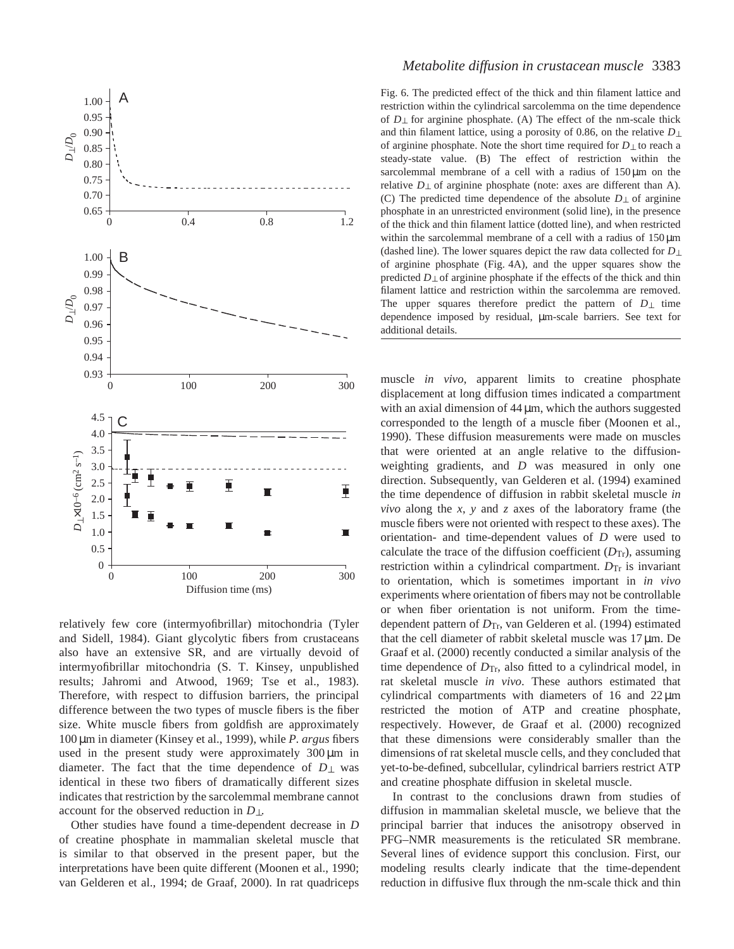

relatively few core (intermyofibrillar) mitochondria (Tyler and Sidell, 1984). Giant glycolytic fibers from crustaceans also have an extensive SR, and are virtually devoid of intermyofibrillar mitochondria (S. T. Kinsey, unpublished results; Jahromi and Atwood, 1969; Tse et al., 1983). Therefore, with respect to diffusion barriers, the principal difference between the two types of muscle fibers is the fiber size. White muscle fibers from goldfish are approximately 100 µm in diameter (Kinsey et al., 1999), while *P. argus* fibers used in the present study were approximately  $300 \mu m$  in diameter. The fact that the time dependence of  $D_{\perp}$  was identical in these two fibers of dramatically different sizes indicates that restriction by the sarcolemmal membrane cannot account for the observed reduction in *D*⊥.

Other studies have found a time-dependent decrease in *D* of creatine phosphate in mammalian skeletal muscle that is similar to that observed in the present paper, but the interpretations have been quite different (Moonen et al., 1990; van Gelderen et al., 1994; de Graaf, 2000). In rat quadriceps

# *Metabolite diffusion in crustacean muscle* 3383

Fig. 6. The predicted effect of the thick and thin filament lattice and restriction within the cylindrical sarcolemma on the time dependence of *D*⊥ for arginine phosphate. (A) The effect of the nm-scale thick and thin filament lattice, using a porosity of 0.86, on the relative *D*⊥ of arginine phosphate. Note the short time required for *D*⊥ to reach a steady-state value. (B) The effect of restriction within the sarcolemmal membrane of a cell with a radius of  $150 \,\mu m$  on the relative  $D<sub>⊥</sub>$  of arginine phosphate (note: axes are different than A). (C) The predicted time dependence of the absolute *D*⊥ of arginine phosphate in an unrestricted environment (solid line), in the presence of the thick and thin filament lattice (dotted line), and when restricted within the sarcolemmal membrane of a cell with a radius of  $150 \mu m$ (dashed line). The lower squares depict the raw data collected for *D*⊥ of arginine phosphate (Fig. 4A), and the upper squares show the predicted *D*⊥ of arginine phosphate if the effects of the thick and thin filament lattice and restriction within the sarcolemma are removed. The upper squares therefore predict the pattern of *D*⊥ time dependence imposed by residual, µm-scale barriers. See text for additional details.

muscle *in vivo*, apparent limits to creatine phosphate displacement at long diffusion times indicated a compartment with an axial dimension of  $44 \mu m$ , which the authors suggested corresponded to the length of a muscle fiber (Moonen et al., 1990). These diffusion measurements were made on muscles that were oriented at an angle relative to the diffusionweighting gradients, and *D* was measured in only one direction. Subsequently, van Gelderen et al. (1994) examined the time dependence of diffusion in rabbit skeletal muscle *in vivo* along the *x*, *y* and *z* axes of the laboratory frame (the muscle fibers were not oriented with respect to these axes). The orientation- and time-dependent values of *D* were used to calculate the trace of the diffusion coefficient  $(D_{Tr})$ , assuming restriction within a cylindrical compartment.  $D_{Tr}$  is invariant to orientation, which is sometimes important in *in vivo* experiments where orientation of fibers may not be controllable or when fiber orientation is not uniform. From the timedependent pattern of  $D_{\text{Tr}}$ , van Gelderen et al. (1994) estimated that the cell diameter of rabbit skeletal muscle was 17 µm. De Graaf et al. (2000) recently conducted a similar analysis of the time dependence of  $D_{\text{Tr}}$ , also fitted to a cylindrical model, in rat skeletal muscle *in vivo*. These authors estimated that cylindrical compartments with diameters of 16 and  $22 \mu m$ restricted the motion of ATP and creatine phosphate, respectively. However, de Graaf et al. (2000) recognized that these dimensions were considerably smaller than the dimensions of rat skeletal muscle cells, and they concluded that yet-to-be-defined, subcellular, cylindrical barriers restrict ATP and creatine phosphate diffusion in skeletal muscle.

In contrast to the conclusions drawn from studies of diffusion in mammalian skeletal muscle, we believe that the principal barrier that induces the anisotropy observed in PFG–NMR measurements is the reticulated SR membrane. Several lines of evidence support this conclusion. First, our modeling results clearly indicate that the time-dependent reduction in diffusive flux through the nm-scale thick and thin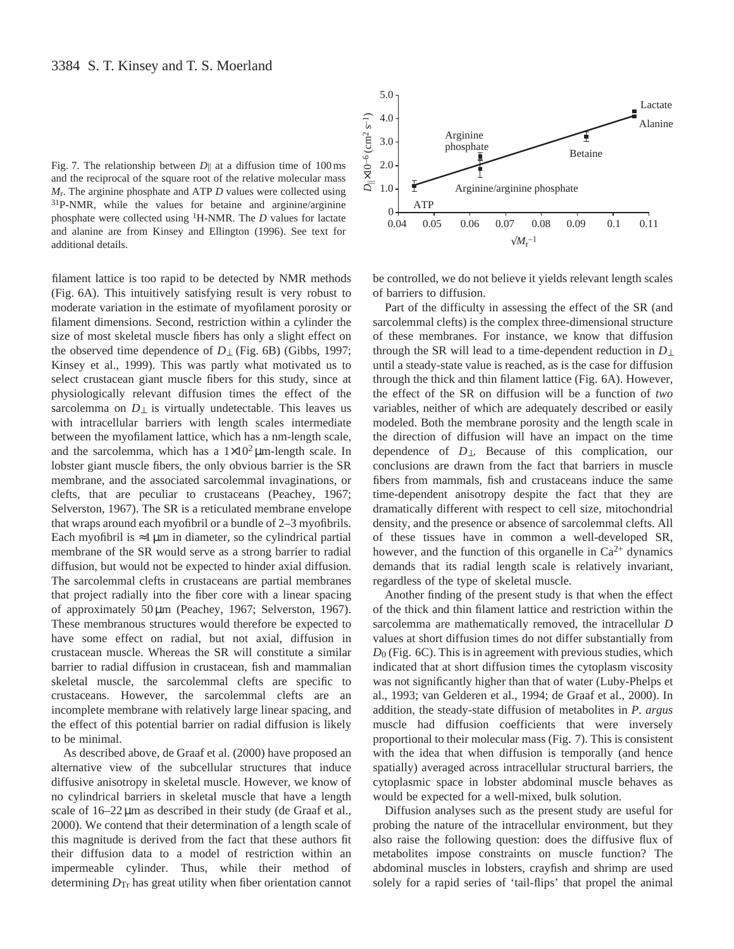Fig. 7. The relationship between  $D_{\parallel}$  at a diffusion time of 100 ms and the reciprocal of the square root of the relative molecular mass *M*r. The arginine phosphate and ATP *D* values were collected using 31P-NMR, while the values for betaine and arginine/arginine phosphate were collected using 1H-NMR. The *D* values for lactate and alanine are from Kinsey and Ellington (1996). See text for additional details.

filament lattice is too rapid to be detected by NMR methods (Fig. 6A). This intuitively satisfying result is very robust to moderate variation in the estimate of myofilament porosity or filament dimensions. Second, restriction within a cylinder the size of most skeletal muscle fibers has only a slight effect on the observed time dependence of *D*⊥ (Fig. 6B) (Gibbs, 1997; Kinsey et al., 1999). This was partly what motivated us to select crustacean giant muscle fibers for this study, since at physiologically relevant diffusion times the effect of the sarcolemma on  $D_{\perp}$  is virtually undetectable. This leaves us with intracellular barriers with length scales intermediate between the myofilament lattice, which has a nm-length scale, and the sarcolemma, which has a  $1\times10^2 \mu$ m-length scale. In lobster giant muscle fibers, the only obvious barrier is the SR membrane, and the associated sarcolemmal invaginations, or clefts, that are peculiar to crustaceans (Peachey, 1967; Selverston, 1967). The SR is a reticulated membrane envelope that wraps around each myofibril or a bundle of 2–3 myofibrils. Each myofibril is  $\approx$ 1 µm in diameter, so the cylindrical partial membrane of the SR would serve as a strong barrier to radial diffusion, but would not be expected to hinder axial diffusion. The sarcolemmal clefts in crustaceans are partial membranes that project radially into the fiber core with a linear spacing of approximately 50 µm (Peachey, 1967; Selverston, 1967). These membranous structures would therefore be expected to have some effect on radial, but not axial, diffusion in crustacean muscle. Whereas the SR will constitute a similar barrier to radial diffusion in crustacean, fish and mammalian skeletal muscle, the sarcolemmal clefts are specific to crustaceans. However, the sarcolemmal clefts are an incomplete membrane with relatively large linear spacing, and the effect of this potential barrier on radial diffusion is likely to be minimal.

As described above, de Graaf et al. (2000) have proposed an alternative view of the subcellular structures that induce diffusive anisotropy in skeletal muscle. However, we know of no cylindrical barriers in skeletal muscle that have a length scale of  $16-22 \mu m$  as described in their study (de Graaf et al., 2000). We contend that their determination of a length scale of this magnitude is derived from the fact that these authors fit their diffusion data to a model of restriction within an impermeable cylinder. Thus, while their method of determining *D*Tr has great utility when fiber orientation cannot



be controlled, we do not believe it yields relevant length scales of barriers to diffusion.

Part of the difficulty in assessing the effect of the SR (and sarcolemmal clefts) is the complex three-dimensional structure of these membranes. For instance, we know that diffusion through the SR will lead to a time-dependent reduction in *D*⊥ until a steady-state value is reached, as is the case for diffusion through the thick and thin filament lattice (Fig. 6A). However, the effect of the SR on diffusion will be a function of *two* variables, neither of which are adequately described or easily modeled. Both the membrane porosity and the length scale in the direction of diffusion will have an impact on the time dependence of *D*⊥. Because of this complication, our conclusions are drawn from the fact that barriers in muscle fibers from mammals, fish and crustaceans induce the same time-dependent anisotropy despite the fact that they are dramatically different with respect to cell size, mitochondrial density, and the presence or absence of sarcolemmal clefts. All of these tissues have in common a well-developed SR, however, and the function of this organelle in  $Ca^{2+}$  dynamics demands that its radial length scale is relatively invariant, regardless of the type of skeletal muscle.

Another finding of the present study is that when the effect of the thick and thin filament lattice and restriction within the sarcolemma are mathematically removed, the intracellular *D* values at short diffusion times do not differ substantially from *D*0 (Fig. 6C). This is in agreement with previous studies, which indicated that at short diffusion times the cytoplasm viscosity was not significantly higher than that of water (Luby-Phelps et al., 1993; van Gelderen et al., 1994; de Graaf et al., 2000). In addition, the steady-state diffusion of metabolites in *P. argus* muscle had diffusion coefficients that were inversely proportional to their molecular mass (Fig. 7). This is consistent with the idea that when diffusion is temporally (and hence spatially) averaged across intracellular structural barriers, the cytoplasmic space in lobster abdominal muscle behaves as would be expected for a well-mixed, bulk solution.

Diffusion analyses such as the present study are useful for probing the nature of the intracellular environment, but they also raise the following question: does the diffusive flux of metabolites impose constraints on muscle function? The abdominal muscles in lobsters, crayfish and shrimp are used solely for a rapid series of 'tail-flips' that propel the animal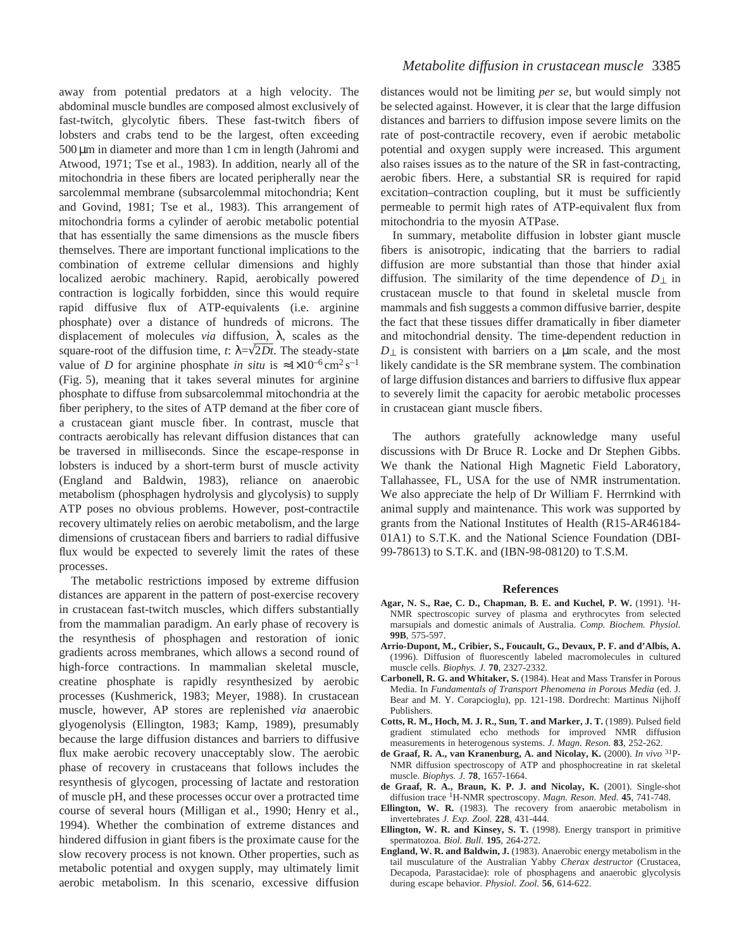away from potential predators at a high velocity. The abdominal muscle bundles are composed almost exclusively of fast-twitch, glycolytic fibers. These fast-twitch fibers of lobsters and crabs tend to be the largest, often exceeding 500 µm in diameter and more than 1 cm in length (Jahromi and Atwood, 1971; Tse et al., 1983). In addition, nearly all of the mitochondria in these fibers are located peripherally near the sarcolemmal membrane (subsarcolemmal mitochondria; Kent and Govind, 1981; Tse et al., 1983). This arrangement of mitochondria forms a cylinder of aerobic metabolic potential that has essentially the same dimensions as the muscle fibers themselves. There are important functional implications to the combination of extreme cellular dimensions and highly localized aerobic machinery. Rapid, aerobically powered contraction is logically forbidden, since this would require rapid diffusive flux of ATP-equivalents (i.e. arginine phosphate) over a distance of hundreds of microns. The displacement of molecules *via* diffusion, λ, scales as the square-root of the diffusion time,  $t$ :  $\lambda = \sqrt{2Dt}$ . The steady-state value of *D* for arginine phosphate *in situ* is  $\approx 1 \times 10^{-6} \text{ cm}^2 \text{ s}^{-1}$ (Fig. 5), meaning that it takes several minutes for arginine phosphate to diffuse from subsarcolemmal mitochondria at the fiber periphery, to the sites of ATP demand at the fiber core of a crustacean giant muscle fiber. In contrast, muscle that contracts aerobically has relevant diffusion distances that can be traversed in milliseconds. Since the escape-response in lobsters is induced by a short-term burst of muscle activity (England and Baldwin, 1983), reliance on anaerobic metabolism (phosphagen hydrolysis and glycolysis) to supply ATP poses no obvious problems. However, post-contractile recovery ultimately relies on aerobic metabolism, and the large dimensions of crustacean fibers and barriers to radial diffusive flux would be expected to severely limit the rates of these processes.

The metabolic restrictions imposed by extreme diffusion distances are apparent in the pattern of post-exercise recovery in crustacean fast-twitch muscles, which differs substantially from the mammalian paradigm. An early phase of recovery is the resynthesis of phosphagen and restoration of ionic gradients across membranes, which allows a second round of high-force contractions. In mammalian skeletal muscle, creatine phosphate is rapidly resynthesized by aerobic processes (Kushmerick, 1983; Meyer, 1988). In crustacean muscle, however, AP stores are replenished *via* anaerobic glyogenolysis (Ellington, 1983; Kamp, 1989), presumably because the large diffusion distances and barriers to diffusive flux make aerobic recovery unacceptably slow. The aerobic phase of recovery in crustaceans that follows includes the resynthesis of glycogen, processing of lactate and restoration of muscle pH, and these processes occur over a protracted time course of several hours (Milligan et al., 1990; Henry et al., 1994). Whether the combination of extreme distances and hindered diffusion in giant fibers is the proximate cause for the slow recovery process is not known. Other properties, such as metabolic potential and oxygen supply, may ultimately limit aerobic metabolism. In this scenario, excessive diffusion

distances would not be limiting *per se*, but would simply not be selected against. However, it is clear that the large diffusion distances and barriers to diffusion impose severe limits on the rate of post-contractile recovery, even if aerobic metabolic potential and oxygen supply were increased. This argument also raises issues as to the nature of the SR in fast-contracting, aerobic fibers. Here, a substantial SR is required for rapid excitation–contraction coupling, but it must be sufficiently permeable to permit high rates of ATP-equivalent flux from mitochondria to the myosin ATPase.

In summary, metabolite diffusion in lobster giant muscle fibers is anisotropic, indicating that the barriers to radial diffusion are more substantial than those that hinder axial diffusion. The similarity of the time dependence of  $D_{\perp}$  in crustacean muscle to that found in skeletal muscle from mammals and fish suggests a common diffusive barrier, despite the fact that these tissues differ dramatically in fiber diameter and mitochondrial density. The time-dependent reduction in *D*⊥ is consistent with barriers on a µm scale, and the most likely candidate is the SR membrane system. The combination of large diffusion distances and barriers to diffusive flux appear to severely limit the capacity for aerobic metabolic processes in crustacean giant muscle fibers.

The authors gratefully acknowledge many useful discussions with Dr Bruce R. Locke and Dr Stephen Gibbs. We thank the National High Magnetic Field Laboratory, Tallahassee, FL, USA for the use of NMR instrumentation. We also appreciate the help of Dr William F. Herrnkind with animal supply and maintenance. This work was supported by grants from the National Institutes of Health (R15-AR46184- 01A1) to S.T.K. and the National Science Foundation (DBI-99-78613) to S.T.K. and (IBN-98-08120) to T.S.M.

### **References**

- **Agar, N. S., Rae, C. D., Chapman, B. E. and Kuchel, P. W.** (1991). 1H-NMR spectroscopic survey of plasma and erythrocytes from selected marsupials and domestic animals of Australia. *Comp. Biochem. Physiol.* **99B**, 575-597.
- **Arrio-Dupont, M., Cribier, S., Foucault, G., Devaux, P. F. and d'Albis, A.** (1996). Diffusion of fluorescently labeled macromolecules in cultured muscle cells. *Biophys. J.* **70**, 2327-2332.
- **Carbonell, R. G. and Whitaker, S.** (1984). Heat and Mass Transfer in Porous Media. In *Fundamentals of Transport Phenomena in Porous Media* (ed. J. Bear and M. Y. Corapcioglu), pp. 121-198. Dordrecht: Martinus Nijhoff Publishers.
- **Cotts, R. M., Hoch, M. J. R., Sun, T. and Marker, J. T.** (1989). Pulsed field gradient stimulated echo methods for improved NMR diffusion measurements in heterogenous systems. *J. Magn. Reson.* **83**, 252-262.
- **de Graaf, R. A., van Kranenburg, A. and Nicolay, K.** (2000). *In vivo* 31P-NMR diffusion spectroscopy of ATP and phosphocreatine in rat skeletal muscle. *Biophys. J.* **78**, 1657-1664.
- **de Graaf, R. A., Braun, K. P. J. and Nicolay, K.** (2001). Single-shot diffusion trace 1H-NMR spectroscopy. *Magn. Reson. Med.* **45**, 741-748.
- **Ellington, W. R.** (1983). The recovery from anaerobic metabolism in invertebrates *J. Exp. Zool.* **228**, 431-444.
- **Ellington, W. R. and Kinsey, S. T.** (1998). Energy transport in primitive spermatozoa. *Biol. Bull*. **195**, 264-272.
- **England, W. R. and Baldwin, J.** (1983). Anaerobic energy metabolism in the tail musculature of the Australian Yabby *Cherax destructor* (Crustacea, Decapoda, Parastacidae): role of phosphagens and anaerobic glycolysis during escape behavior. *Physiol. Zool.* **56**, 614-622.